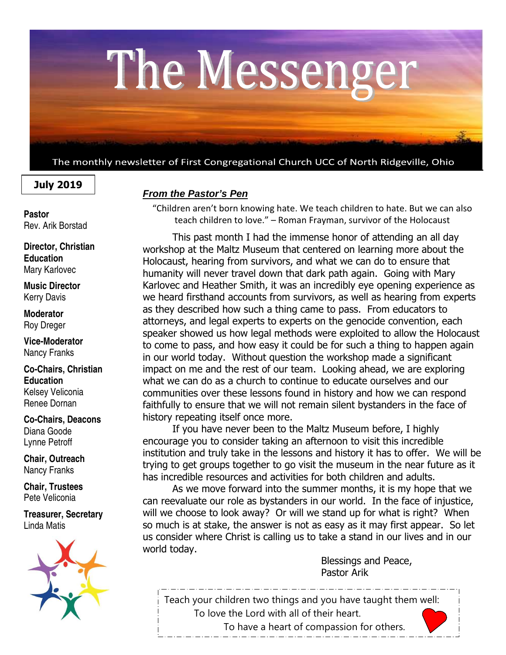

The monthly newsletter of First Congregational Church UCC of North Ridgeville, Ohio

# **July 2019**

**Pastor**  Rev. Arik Borstad

**Director, Christian Education**  Mary Karlovec

**Music Director**  Kerry Davis

**Moderator**  Roy Dreger

**Vice-Moderator**  Nancy Franks

**Co-Chairs, Christian Education**  Kelsey Veliconia Renee Dornan

**Co-Chairs, Deacons**  Diana Goode Lynne Petroff

**Chair, Outreach**  Nancy Franks

**Chair, Trustees**  Pete Veliconia

**Treasurer, Secretary**  Linda Matis



## **From the Pastor's Pen**

"Children aren't born knowing hate. We teach children to hate. But we can also teach children to love." – Roman Frayman, survivor of the Holocaust

 This past month I had the immense honor of attending an all day workshop at the Maltz Museum that centered on learning more about the Holocaust, hearing from survivors, and what we can do to ensure that humanity will never travel down that dark path again. Going with Mary Karlovec and Heather Smith, it was an incredibly eye opening experience as we heard firsthand accounts from survivors, as well as hearing from experts as they described how such a thing came to pass. From educators to attorneys, and legal experts to experts on the genocide convention, each speaker showed us how legal methods were exploited to allow the Holocaust to come to pass, and how easy it could be for such a thing to happen again in our world today. Without question the workshop made a significant impact on me and the rest of our team. Looking ahead, we are exploring what we can do as a church to continue to educate ourselves and our communities over these lessons found in history and how we can respond faithfully to ensure that we will not remain silent bystanders in the face of history repeating itself once more.

 If you have never been to the Maltz Museum before, I highly encourage you to consider taking an afternoon to visit this incredible institution and truly take in the lessons and history it has to offer. We will be trying to get groups together to go visit the museum in the near future as it has incredible resources and activities for both children and adults.

 As we move forward into the summer months, it is my hope that we can reevaluate our role as bystanders in our world. In the face of injustice, will we choose to look away? Or will we stand up for what is right? When so much is at stake, the answer is not as easy as it may first appear. So let us consider where Christ is calling us to take a stand in our lives and in our world today.

> Blessings and Peace, Pastor Arik

Teach your children two things and you have taught them well: To love the Lord with all of their heart. To have a heart of compassion for others.

\_\_\_\_\_\_\_\_\_\_\_\_\_\_\_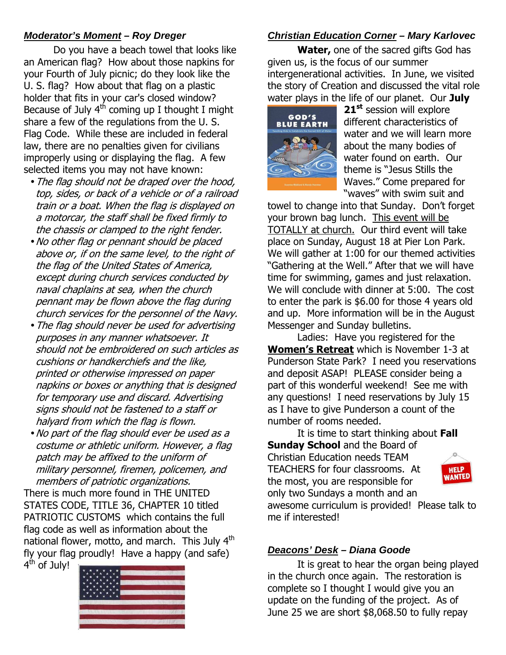# **Moderator's Moment – Roy Dreger**

Do you have a beach towel that looks like an American flag? How about those napkins for your Fourth of July picnic; do they look like the U. S. flag? How about that flag on a plastic holder that fits in your car's closed window? Because of July  $4<sup>th</sup>$  coming up I thought I might share a few of the regulations from the U. S. Flag Code. While these are included in federal law, there are no penalties given for civilians improperly using or displaying the flag. A few selected items you may not have known:

- •The flag should not be draped over the hood, top, sides, or back of a vehicle or of a railroad train or a boat. When the flag is displayed on a motorcar, the staff shall be fixed firmly to the chassis or clamped to the right fender.
- •No other flag or pennant should be placed above or, if on the same level, to the right of the flag of the United States of America, except during church services conducted by naval chaplains at sea, when the church pennant may be flown above the flag during church services for the personnel of the Navy.
- •The flag should never be used for advertising purposes in any manner whatsoever. It should not be embroidered on such articles as cushions or handkerchiefs and the like, printed or otherwise impressed on paper napkins or boxes or anything that is designed for temporary use and discard. Advertising signs should not be fastened to a staff or halyard from which the flag is flown.
- •No part of the flag should ever be used as a costume or athletic uniform. However, a flag patch may be affixed to the uniform of military personnel, firemen, policemen, and members of patriotic organizations.

There is much more found in THE UNITED STATES CODE, TITLE 36, CHAPTER 10 titled PATRIOTIC CUSTOMS which contains the full flag code as well as information about the national flower, motto, and march. This July 4<sup>th</sup> fly your flag proudly! Have a happy (and safe)

4<sup>th</sup> of July!



# **Christian Education Corner – Mary Karlovec**

**Water,** one of the sacred gifts God has given us, is the focus of our summer intergenerational activities. In June, we visited the story of Creation and discussed the vital role water plays in the life of our planet. Our **July** 



**21st** session will explore different characteristics of water and we will learn more about the many bodies of water found on earth. Our theme is "Jesus Stills the Waves." Come prepared for "waves" with swim suit and

towel to change into that Sunday. Don't forget your brown bag lunch. This event will be TOTALLY at church. Our third event will take place on Sunday, August 18 at Pier Lon Park. We will gather at 1:00 for our themed activities "Gathering at the Well." After that we will have time for swimming, games and just relaxation. We will conclude with dinner at 5:00. The cost to enter the park is \$6.00 for those 4 years old and up. More information will be in the August Messenger and Sunday bulletins.

Ladies: Have you registered for the **Women's Retreat** which is November 1-3 at Punderson State Park? I need you reservations and deposit ASAP! PLEASE consider being a part of this wonderful weekend! See me with any questions! I need reservations by July 15 as I have to give Punderson a count of the number of rooms needed.

It is time to start thinking about **Fall Sunday School** and the Board of Christian Education needs TEAM TEACHERS for four classrooms. At the most, you are responsible for only two Sundays a month and an



awesome curriculum is provided! Please talk to me if interested!

# **Deacons' Desk – Diana Goode**

It is great to hear the organ being played in the church once again. The restoration is complete so I thought I would give you an update on the funding of the project. As of June 25 we are short \$8,068.50 to fully repay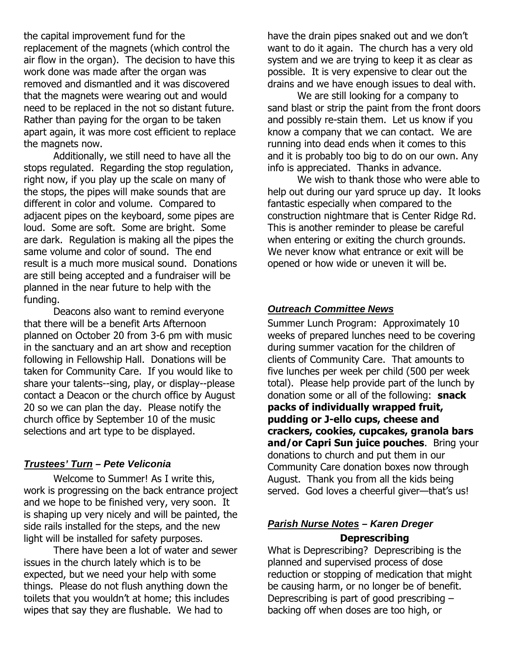the capital improvement fund for the replacement of the magnets (which control the air flow in the organ). The decision to have this work done was made after the organ was removed and dismantled and it was discovered that the magnets were wearing out and would need to be replaced in the not so distant future. Rather than paying for the organ to be taken apart again, it was more cost efficient to replace the magnets now.

Additionally, we still need to have all the stops regulated. Regarding the stop regulation, right now, if you play up the scale on many of the stops, the pipes will make sounds that are different in color and volume. Compared to adjacent pipes on the keyboard, some pipes are loud. Some are soft. Some are bright. Some are dark. Regulation is making all the pipes the same volume and color of sound. The end result is a much more musical sound. Donations are still being accepted and a fundraiser will be planned in the near future to help with the funding.

 Deacons also want to remind everyone that there will be a benefit Arts Afternoon planned on October 20 from 3-6 pm with music in the sanctuary and an art show and reception following in Fellowship Hall. Donations will be taken for Community Care. If you would like to share your talents--sing, play, or display--please contact a Deacon or the church office by August 20 so we can plan the day. Please notify the church office by September 10 of the music selections and art type to be displayed.

#### **Trustees' Turn – Pete Veliconia**

Welcome to Summer! As I write this, work is progressing on the back entrance project and we hope to be finished very, very soon. It is shaping up very nicely and will be painted, the side rails installed for the steps, and the new light will be installed for safety purposes.

There have been a lot of water and sewer issues in the church lately which is to be expected, but we need your help with some things. Please do not flush anything down the toilets that you wouldn't at home; this includes wipes that say they are flushable. We had to

have the drain pipes snaked out and we don't want to do it again. The church has a very old system and we are trying to keep it as clear as possible. It is very expensive to clear out the drains and we have enough issues to deal with.

We are still looking for a company to sand blast or strip the paint from the front doors and possibly re-stain them. Let us know if you know a company that we can contact. We are running into dead ends when it comes to this and it is probably too big to do on our own. Any info is appreciated. Thanks in advance.

We wish to thank those who were able to help out during our yard spruce up day. It looks fantastic especially when compared to the construction nightmare that is Center Ridge Rd. This is another reminder to please be careful when entering or exiting the church grounds. We never know what entrance or exit will be opened or how wide or uneven it will be.

#### **Outreach Committee News**

Summer Lunch Program: Approximately 10 weeks of prepared lunches need to be covering during summer vacation for the children of clients of Community Care. That amounts to five lunches per week per child (500 per week total). Please help provide part of the lunch by donation some or all of the following: **snack packs of individually wrapped fruit, pudding or J-ello cups, cheese and crackers, cookies, cupcakes, granola bars and/or Capri Sun juice pouches**. Bring your donations to church and put them in our Community Care donation boxes now through August. Thank you from all the kids being served. God loves a cheerful giver—that's us!

### **Parish Nurse Notes – Karen Dreger Deprescribing**

What is Deprescribing? Deprescribing is the planned and supervised process of dose reduction or stopping of medication that might be causing harm, or no longer be of benefit. Deprescribing is part of good prescribing – backing off when doses are too high, or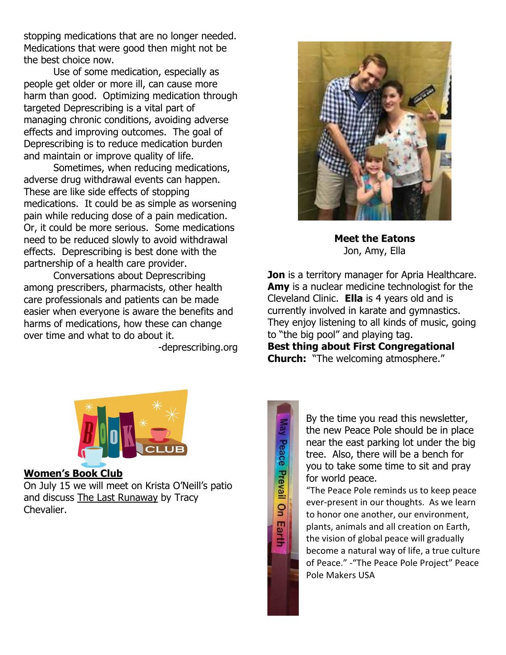stopping medications that are no longer needed. Medications that were good then might not be the best choice now.

 Use of some medication, especially as people get older or more ill, can cause more harm than good. Optimizing medication through targeted Deprescribing is a vital part of managing chronic conditions, avoiding adverse effects and improving outcomes. The goal of Deprescribing is to reduce medication burden and maintain or improve quality of life.

 Sometimes, when reducing medications, adverse drug withdrawal events can happen. These are like side effects of stopping medications. It could be as simple as worsening pain while reducing dose of a pain medication. Or, it could be more serious. Some medications need to be reduced slowly to avoid withdrawal effects. Deprescribing is best done with the partnership of a health care provider.

 Conversations about Deprescribing among prescribers, pharmacists, other health care professionals and patients can be made easier when everyone is aware the benefits and harms of medications, how these can change over time and what to do about it.

-deprescribing.org



**Meet the Eatons**  Jon, Amy, Ella

**Jon** is a territory manager for Apria Healthcare. Amy is a nuclear medicine technologist for the Cleveland Clinic. **Ella** is 4 years old and is currently involved in karate and gymnastics. They enjoy listening to all kinds of music, going to "the big pool" and playing tag.

**Best thing about First Congregational Church:** "The welcoming atmosphere."



## **Women's Book Club**

On July 15 we will meet on Krista O'Neill's patio and discuss The Last Runaway by Tracy Chevalier.



By the time you read this newsletter, the new Peace Pole should be in place near the east parking lot under the big tree. Also, there will be a bench for you to take some time to sit and pray for world peace.

"The Peace Pole reminds us to keep peace ever-present in our thoughts. As we learn to honor one another, our environment, plants, animals and all creation on Earth, the vision of global peace will gradually become a natural way of life, a true culture of Peace." -"The Peace Pole Project" Peace Pole Makers USA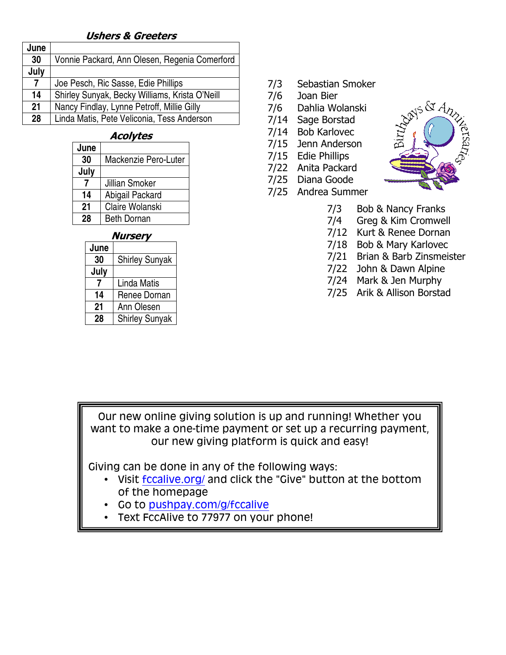## **Ushers & Greeters**

| June           |                                                |
|----------------|------------------------------------------------|
| 30             | Vonnie Packard, Ann Olesen, Regenia Comerford  |
| July           |                                                |
| $\overline{7}$ | Joe Pesch, Ric Sasse, Edie Phillips            |
| 14             | Shirley Sunyak, Becky Williams, Krista O'Neill |
| 21             | Nancy Findlay, Lynne Petroff, Millie Gilly     |
| 28             | Linda Matis, Pete Veliconia, Tess Anderson     |

#### **Acolytes**

| June |                      |  |  |  |  |
|------|----------------------|--|--|--|--|
| 30   | Mackenzie Pero-Luter |  |  |  |  |
| July |                      |  |  |  |  |
|      | Jillian Smoker       |  |  |  |  |
| 14   | Abigail Packard      |  |  |  |  |
| 21   | Claire Wolanski      |  |  |  |  |
| 28   | <b>Beth Dornan</b>   |  |  |  |  |

#### **Nursery**

| June |                       |  |  |
|------|-----------------------|--|--|
| 30   | <b>Shirley Sunyak</b> |  |  |
| July |                       |  |  |
|      | Linda Matis           |  |  |
| 14   | Renee Dornan          |  |  |
| 21   | Ann Olesen            |  |  |
| 28   | <b>Shirley Sunyak</b> |  |  |

- 7/3 Sebastian Smoker
- 7/6 Joan Bier
- 7/6 Dahlia Wolanski
- 7/14 Sage Borstad
- 7/14 Bob Karlovec
- 7/15 Jenn Anderson
- 7/15 Edie Phillips
- 7/22 Anita Packard
- 7/25 Diana Goode
- 7/25 Andrea Summer



- 7/3 Bob & Nancy Franks
- 7/4 Greg & Kim Cromwell
- 7/12 Kurt & Renee Dornan
- 7/18 Bob & Mary Karlovec
- 7/21 Brian & Barb Zinsmeister
- 7/22 John & Dawn Alpine
- 7/24 Mark & Jen Murphy
- 7/25 Arik & Allison Borstad

Our new online giving solution is up and running! Whether you want to make a one-time payment or set up a recurring payment, our new giving platform is quick and easy!

Giving can be done in any of the following ways:

- Visit fccalive.org/ and click the "Give" button at the bottom of the homepage
- Go to pushpay.com/g/fccalive
- Text FccAlive to 77977 on your phone!